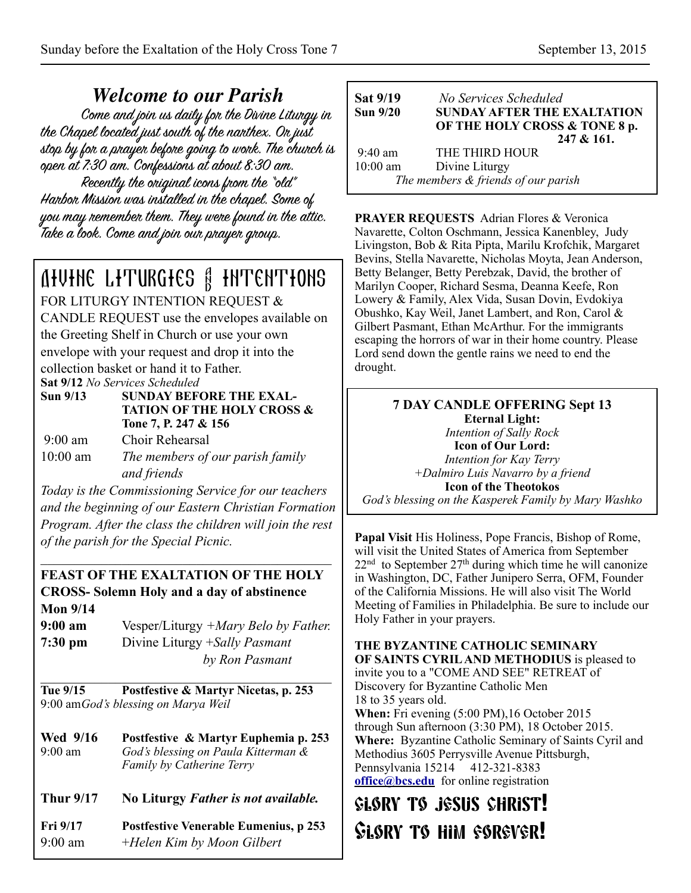*Welcome to our Parish* the Chapel located just south of the nanthex. On just stop by for a prayer before going to work. The church is open at 7:30 am. Confessions at about 8:30 am. Recently the original icons from the "old" Harbor Mission was installed in the chapel. Some of you may remember them. They were found in the attic. Take a look. Come and join our prayer group.

# Divine Liturgies & Intentions

FOR LITURGY INTENTION REQUEST &

CANDLE REQUEST use the envelopes available on the Greeting Shelf in Church or use your own envelope with your request and drop it into the collection basket or hand it to Father. **Sat 9/12** *No Services Scheduled*

- **Sun 9/13 SUNDAY BEFORE THE EXAL- TATION OF THE HOLY CROSS & Tone 7, P. 247 & 156**  9:00 am Choir Rehearsal
- 10:00 am *The members of our parish family and friends*

*Today is the Commissioning Service for our teachers and the beginning of our Eastern Christian Formation Program. After the class the children will join the rest of the parish for the Special Picnic.*

 $\mathcal{L}_\text{max}$  , and the set of the set of the set of the set of the set of the set of the set of the set of the set of the set of the set of the set of the set of the set of the set of the set of the set of the set of the

### **FEAST OF THE EXALTATION OF THE HOLY CROSS- Solemn Holy and a day of abstinence Mon 9/14**

| $9:00 \text{ am}$ | Vesper/Liturgy +Mary Belo by Father. |
|-------------------|--------------------------------------|
| $7:30$ pm         | Divine Liturgy + Sally Pasmant       |
|                   | by Ron Pasmant                       |

 $\mathcal{L}_\text{max}$  , and the set of the set of the set of the set of the set of the set of the set of the set of the set of the set of the set of the set of the set of the set of the set of the set of the set of the set of the **Tue 9/15 Postfestive & Martyr Nicetas, p. 253**  9:00 am *God's blessing on Marya Weil* 

**Wed 9/16 Postfestive & Martyr Euphemia p. 253** 9:00 am *God's blessing on Paula Kitterman & Family by Catherine Terry*

**Thur 9/17 No Liturgy** *Father is not available.*

**Fri 9/17 Postfestive Venerable Eumenius, p 253** 9:00 am +*Helen Kim by Moon Gilbert* 

| Sat 9/19<br><b>Sun 9/20</b> | No Services Scheduled<br><b>SUNDAY AFTER THE EXALTATION</b><br>OF THE HOLY CROSS & TONE 8 p.<br>$247 & 161$ . |
|-----------------------------|---------------------------------------------------------------------------------------------------------------|
| $9:40$ am                   | THE THIRD HOUR                                                                                                |
| $10:00$ am                  | Divine Liturgy                                                                                                |
|                             | The members & friends of our parish                                                                           |

**PRAYER REQUESTS** Adrian Flores & Veronica Navarette, Colton Oschmann, Jessica Kanenbley, Judy Livingston, Bob & Rita Pipta, Marilu Krofchik, Margaret Bevins, Stella Navarette, Nicholas Moyta, Jean Anderson, Betty Belanger, Betty Perebzak, David, the brother of Marilyn Cooper, Richard Sesma, Deanna Keefe, Ron Lowery & Family, Alex Vida, Susan Dovin, Evdokiya Obushko, Kay Weil, Janet Lambert, and Ron, Carol & Gilbert Pasmant, Ethan McArthur. For the immigrants escaping the horrors of war in their home country. Please Lord send down the gentle rains we need to end the drought.

# **7 DAY CANDLE OFFERING Sept 13**

**Eternal Light:**  *Intention of Sally Rock*  **Icon of Our Lord:**  *Intention for Kay Terry +Dalmiro Luis Navarro by a friend*  **Icon of the Theotokos**  *God's blessing on the Kasperek Family by Mary Washko*

**Papal Visit** His Holiness, Pope Francis, Bishop of Rome, will visit the United States of America from September  $22<sup>nd</sup>$  to September  $27<sup>th</sup>$  during which time he will canonize in Washington, DC, Father Junipero Serra, OFM, Founder of the California Missions. He will also visit The World Meeting of Families in Philadelphia. Be sure to include our Holy Father in your prayers.

**THE BYZANTINE CATHOLIC SEMINARY OF SAINTS CYRIL AND METHODIUS** is pleased to invite you to a "COME AND SEE" RETREAT of Discovery for Byzantine Catholic Men 18 to 35 years old. **When:** Fri evening (5:00 PM),16 October 2015 through Sun afternoon (3:30 PM), 18 October 2015. **Where:** Byzantine Catholic Seminary of Saints Cyril and Methodius 3605 Perrysville Avenue Pittsburgh, Pennsylvania 15214 412-321-8383 **[office@bcs.edu](mailto:office@bcs.edu)** for online registration

# glory to jesus christ! Glory to him forever!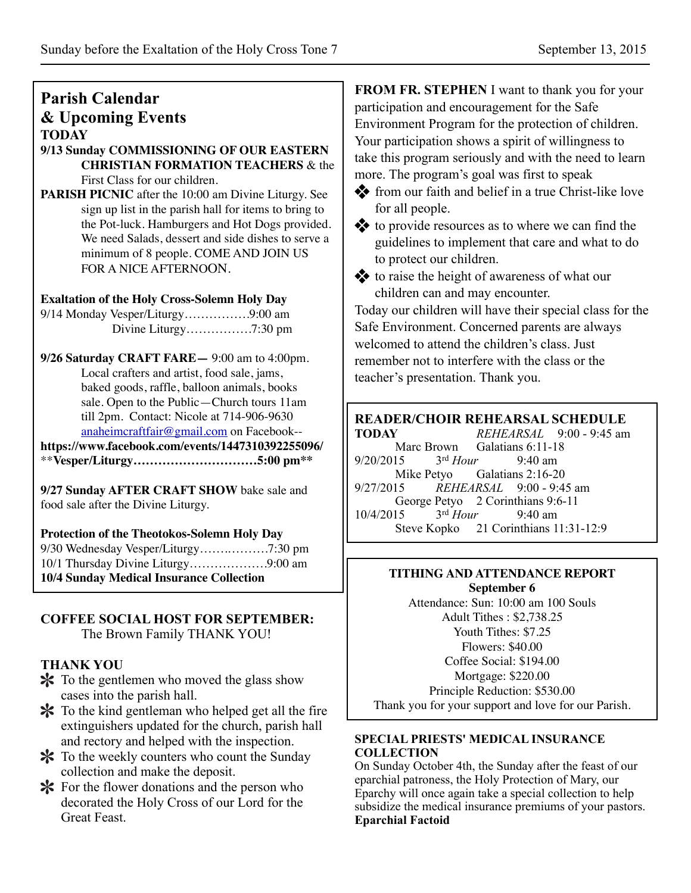# **Parish Calendar & Upcoming Events TODAY**

**9/13 Sunday COMMISSIONING OF OUR EASTERN CHRISTIAN FORMATION TEACHERS** & the First Class for our children.

**PARISH PICNIC** after the 10:00 am Divine Liturgy. See sign up list in the parish hall for items to bring to the Pot-luck. Hamburgers and Hot Dogs provided. We need Salads, dessert and side dishes to serve a minimum of 8 people. COME AND JOIN US FOR A NICE AFTERNOON.

### **Exaltation of the Holy Cross-Solemn Holy Day**

9/14 Monday Vesper/Liturgy…………….9:00 am Divine Liturgy…………….7:30 pm

**9/26 Saturday CRAFT FARE—** 9:00 am to 4:00pm. Local crafters and artist, food sale, jams, baked goods, raffle, balloon animals, books sale. Open to the Public—Church tours 11am till 2pm. Contact: Nicole at 714-906-9630 [anaheimcraftfair@gmail.com](mailto:anaheimcraftfair@gmail.com) on Facebook--

**<https://www.facebook.com/events/1447310392255096/>** \*\***Vesper/Liturgy…………………………5:00 pm\*\***

**9/27 Sunday AFTER CRAFT SHOW** bake sale and food sale after the Divine Liturgy.

**Protection of the Theotokos-Solemn Holy Day** 9/30 Wednesday Vesper/Liturgy…….……….7:30 pm 10/1 Thursday Divine Liturgy……………….9:00 am **10/4 Sunday Medical Insurance Collection**

#### **COFFEE SOCIAL HOST FOR SEPTEMBER:**  The Brown Family THANK YOU!

# **THANK YOU**

- To the gentlemen who moved the glass show cases into the parish hall.
- \* To the kind gentleman who helped get all the fire extinguishers updated for the church, parish hall and rectory and helped with the inspection.
- To the weekly counters who count the Sunday collection and make the deposit.
- $\mathbf{\times}$  For the flower donations and the person who decorated the Holy Cross of our Lord for the Great Feast.

**FROM FR. STEPHEN** I want to thank you for your participation and encouragement for the Safe Environment Program for the protection of children. Your participation shows a spirit of willingness to take this program seriously and with the need to learn more. The program's goal was first to speak

**from our faith and belief in a true Christ-like love** for all people.

to provide resources as to where we can find the guidelines to implement that care and what to do to protect our children.

to raise the height of awareness of what our children can and may encounter.

Today our children will have their special class for the Safe Environment. Concerned parents are always welcomed to attend the children's class. Just remember not to interfere with the class or the teacher's presentation. Thank you.

# **READER/CHOIR REHEARSAL SCHEDULE<br>TODAY REHEARSAL 9:00 - 9:45 am**

**TODAY** *REHEARSAL* 9:00 - 9:45 am Marc Brown Galatians 6:11-18<br>15  $3<sup>rd</sup> Hour$  9:40 am 9/20/2015 3rd *Hour* 9:40 am Mike Petyo Galatians 2:16-20 9/27/2015 *REHEARSAL* 9:00 - 9:45 am George Petyo 2 Corinthians 9:6-11<br>15  $3<sup>rd</sup> Hour$  9:40 am 10/4/2015 3rd *Hour* 9:40 am Steve Kopko 21 Corinthians 11:31-12:9

### **TITHING AND ATTENDANCE REPORT September 6**

Attendance: Sun: 10:00 am 100 Souls Adult Tithes : \$2,738.25 Youth Tithes: \$7.25 Flowers: \$40.00 Coffee Social: \$194.00 Mortgage: \$220.00 Principle Reduction: \$530.00 Thank you for your support and love for our Parish.

#### **SPECIAL PRIESTS' MEDICAL INSURANCE COLLECTION**

On Sunday October 4th, the Sunday after the feast of our eparchial patroness, the Holy Protection of Mary, our Eparchy will once again take a special collection to help subsidize the medical insurance premiums of your pastors. **Eparchial Factoid**